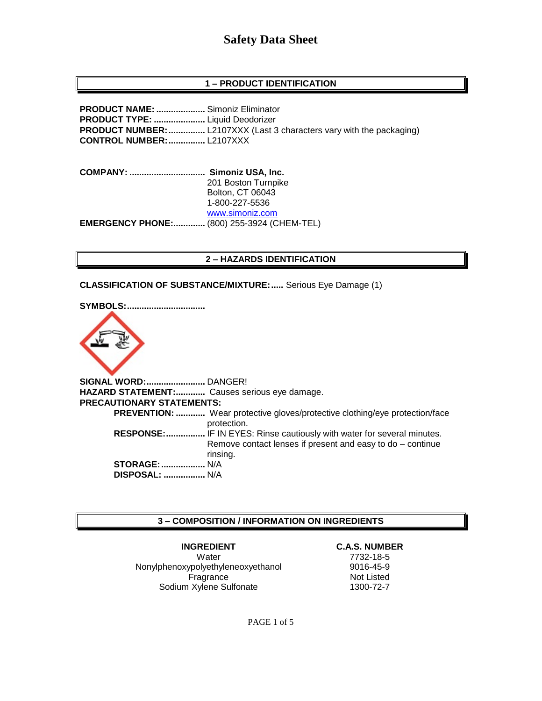### **1 – PRODUCT IDENTIFICATION**

**PRODUCT NAME: ....................** Simoniz Eliminator **PRODUCT TYPE: .....................** Liquid Deodorizer **PRODUCT NUMBER:**................. L2107XXX (Last 3 characters vary with the packaging) **CONTROL NUMBER:...............** L2107XXX

**COMPANY: ............................... Simoniz USA, Inc.** 201 Boston Turnpike Bolton, CT 06043 1-800-227-5536 [www.simoniz.com](http://www.simoniz.com/) **EMERGENCY PHONE:.............** (800) 255-3924 (CHEM-TEL)

#### **2 – HAZARDS IDENTIFICATION**

**CLASSIFICATION OF SUBSTANCE/MIXTURE:.....** Serious Eye Damage (1)



**SIGNAL WORD:........................** DANGER! **HAZARD STATEMENT:............** Causes serious eye damage. **PRECAUTIONARY STATEMENTS: PREVENTION: ............** Wear protective gloves/protective clothing/eye protection/face protection.  **RESPONSE:................** IF IN EYES: Rinse cautiously with water for several minutes. Remove contact lenses if present and easy to do – continue rinsing. **STORAGE:..................** N/A  **DISPOSAL: .................** N/A

#### **3 – COMPOSITION / INFORMATION ON INGREDIENTS**

**INGREDIENT C.A.S. NUMBER** Water 7732-18-5 Nonylphenoxypolyethyleneoxyethanol 9016-45-9 Fragrance Not Listed Sodium Xylene Sulfonate 1300-72-7

PAGE 1 of 5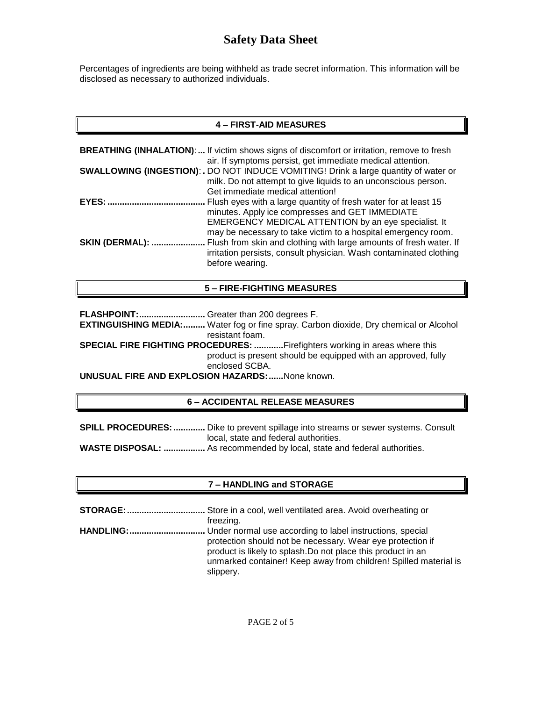Percentages of ingredients are being withheld as trade secret information. This information will be disclosed as necessary to authorized individuals.

# **4 – FIRST-AID MEASURES**

|                        | <b>BREATHING (INHALATION):</b> If victim shows signs of discomfort or irritation, remove to fresh<br>air. If symptoms persist, get immediate medical attention. |
|------------------------|-----------------------------------------------------------------------------------------------------------------------------------------------------------------|
|                        | <b>SWALLOWING (INGESTION): .</b> DO NOT INDUCE VOMITING! Drink a large quantity of water or<br>milk. Do not attempt to give liquids to an unconscious person.   |
|                        | Get immediate medical attention!                                                                                                                                |
| <b>EYES:</b>           | Flush eyes with a large quantity of fresh water for at least 15<br>minutes. Apply ice compresses and GET IMMEDIATE                                              |
|                        | EMERGENCY MEDICAL ATTENTION by an eye specialist. It<br>may be necessary to take victim to a hospital emergency room.                                           |
| <b>SKIN (DERMAL): </b> | Flush from skin and clothing with large amounts of fresh water. If<br>irritation persists, consult physician. Wash contaminated clothing<br>before wearing.     |

### **5 – FIRE-FIGHTING MEASURES**

**FLASHPOINT:...........................** Greater than 200 degrees F.

**EXTINGUISHING MEDIA:.........** Water fog or fine spray. Carbon dioxide, Dry chemical or Alcohol resistant foam.

**SPECIAL FIRE FIGHTING PROCEDURES: ............**Firefighters working in areas where this product is present should be equipped with an approved, fully enclosed SCBA.

**UNUSUAL FIRE AND EXPLOSION HAZARDS:......**None known.

# **6 – ACCIDENTAL RELEASE MEASURES**

**SPILL PROCEDURES:.............** Dike to prevent spillage into streams or sewer systems. Consult local, state and federal authorities. **WASTE DISPOSAL: .................** As recommended by local, state and federal authorities.

# **7 – HANDLING and STORAGE**

**STORAGE:................................** Store in a cool, well ventilated area. Avoid overheating or freezing. **HANDLING:...............................** Under normal use according to label instructions, special protection should not be necessary. Wear eye protection if product is likely to splash.Do not place this product in an unmarked container! Keep away from children! Spilled material is slippery.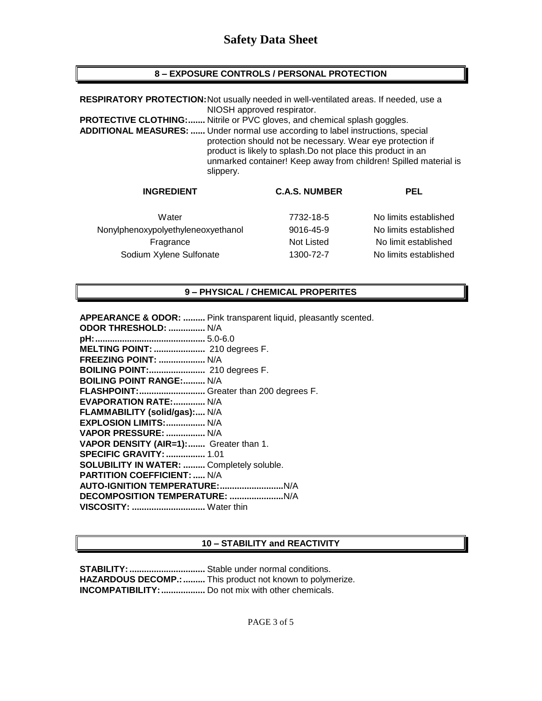# **8 – EXPOSURE CONTROLS / PERSONAL PROTECTION**

| RESPIRATORY PROTECTION: Not usually needed in well-ventilated areas. If needed, use a                                                                                                                                                                                                                                                                                                       | NIOSH approved respirator. |                       |  |
|---------------------------------------------------------------------------------------------------------------------------------------------------------------------------------------------------------------------------------------------------------------------------------------------------------------------------------------------------------------------------------------------|----------------------------|-----------------------|--|
| Nitrile or PVC gloves, and chemical splash goggles.<br><b>PROTECTIVE CLOTHING:</b><br><b>ADDITIONAL MEASURES: </b> Under normal use according to label instructions, special<br>protection should not be necessary. Wear eye protection if<br>product is likely to splash. Do not place this product in an<br>unmarked container! Keep away from children! Spilled material is<br>slippery. |                            |                       |  |
| <b>INGREDIENT</b>                                                                                                                                                                                                                                                                                                                                                                           | <b>C.A.S. NUMBER</b>       | <b>PEL</b>            |  |
| Water                                                                                                                                                                                                                                                                                                                                                                                       | 7732-18-5                  | No limits established |  |
| Nonylphenoxypolyethyleneoxyethanol                                                                                                                                                                                                                                                                                                                                                          | 9016-45-9                  | No limits established |  |

Fragrance Not Listed No limit established Sodium Xylene Sulfonate 1300-72-7 No limits established

#### **9 – PHYSICAL / CHEMICAL PROPERITES**

**APPEARANCE & ODOR: .........** Pink transparent liquid, pleasantly scented.

| ODOR THRESHOLD:  N/A                             |
|--------------------------------------------------|
|                                                  |
| MELTING POINT:  210 degrees F.                   |
| <b>FREEZING POINT:  N/A</b>                      |
| BOILING POINT: 210 degrees F.                    |
| <b>BOILING POINT RANGE: N/A</b>                  |
| FLASHPOINT: Greater than 200 degrees F.          |
| <b>EVAPORATION RATE: N/A</b>                     |
| FLAMMABILITY (solid/gas): N/A                    |
| EXPLOSION LIMITS:  N/A                           |
| VAPOR PRESSURE:  N/A                             |
| VAPOR DENSITY (AIR=1): Greater than 1.           |
| <b>SPECIFIC GRAVITY:  1.01</b>                   |
| <b>SOLUBILITY IN WATER:  Completely soluble.</b> |
| <b>PARTITION COEFFICIENT:  N/A</b>               |
|                                                  |
|                                                  |
| VISCOSITY:  Water thin                           |
|                                                  |

# **10 – STABILITY and REACTIVITY**

**STABILITY:...............................** Stable under normal conditions. **HAZARDOUS DECOMP.:.........** This product not known to polymerize. **INCOMPATIBILITY:..................** Do not mix with other chemicals.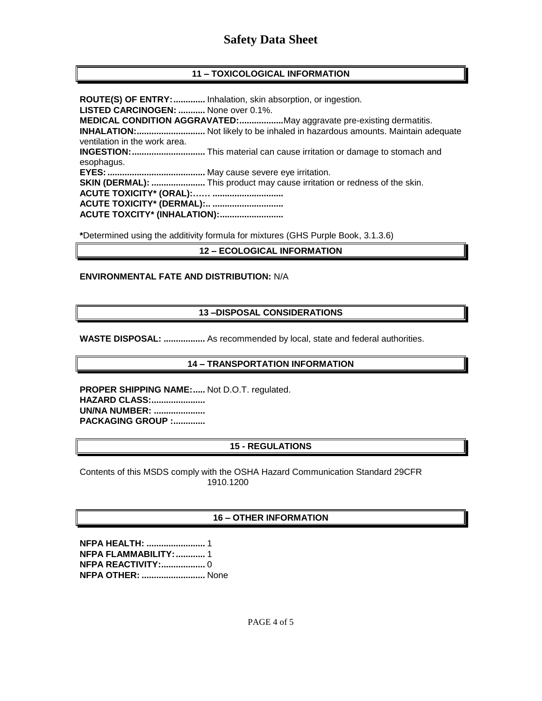# **11 – TOXICOLOGICAL INFORMATION**

**ROUTE(S) OF ENTRY:.............** Inhalation, skin absorption, or ingestion. **LISTED CARCINOGEN: ...........** None over 0.1%. **MEDICAL CONDITION AGGRAVATED:..................**May aggravate pre-existing dermatitis. **INHALATION:............................** Not likely to be inhaled in hazardous amounts. Maintain adequate ventilation in the work area. **INGESTION:..............................** This material can cause irritation or damage to stomach and esophagus. **EYES:........................................** May cause severe eye irritation. **SKIN (DERMAL): ......................** This product may cause irritation or redness of the skin. **ACUTE TOXICITY\* (ORAL):…… ............................. ACUTE TOXICITY\* (DERMAL):.. ............................. ACUTE TOXCITY\* (INHALATION):..........................**

**\***Determined using the additivity formula for mixtures (GHS Purple Book, 3.1.3.6)

### **12 – ECOLOGICAL INFORMATION**

#### **ENVIRONMENTAL FATE AND DISTRIBUTION:** N/A

#### **13 –DISPOSAL CONSIDERATIONS**

**WASTE DISPOSAL: .................** As recommended by local, state and federal authorities.

#### **14 – TRANSPORTATION INFORMATION**

**PROPER SHIPPING NAME:.....** Not D.O.T. regulated. **HAZARD CLASS:...................... UN/NA NUMBER: ..................... PACKAGING GROUP :.............**

# **15 - REGULATIONS**

Contents of this MSDS comply with the OSHA Hazard Communication Standard 29CFR 1910.1200

#### **16 – OTHER INFORMATION**

**NFPA HEALTH: ........................** 1 **NFPA FLAMMABILITY:............** 1 **NFPA REACTIVITY:..................** 0 **NFPA OTHER: ..........................** None